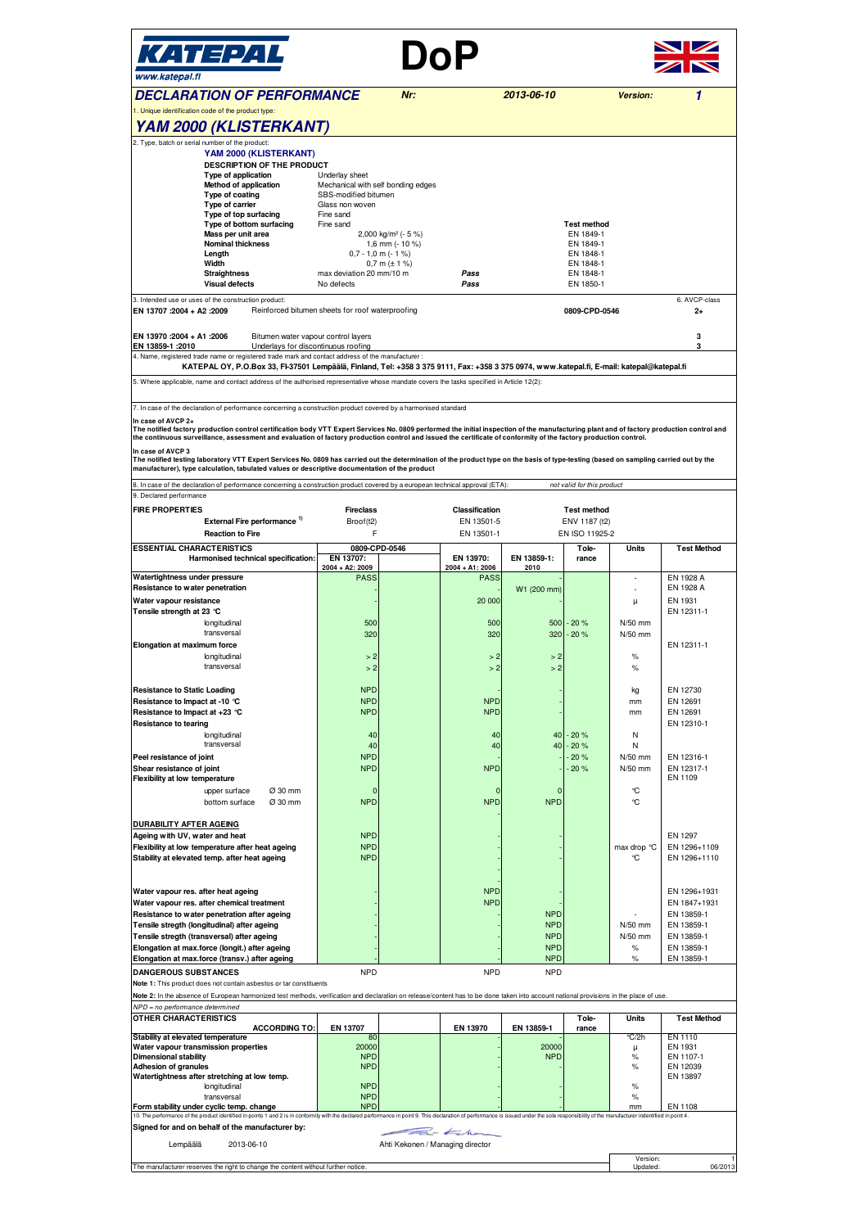| КАТЕРАL<br>www.katepal.fi                                                                                                                                                                                                                                                                                                                                                                                                                                                                                                                                                                                                                                                                                                                                                                                                                                                                                                                                                                                                                                                                                |                                                                                                                                                                                                                                                                 |                                  | DoP                                                                                                                                                                       |                                                                                                                                                                 |                                                                        |                                                                                                                                                                          |                                                                                                                                                                                                                                                                                                         |  |  |
|----------------------------------------------------------------------------------------------------------------------------------------------------------------------------------------------------------------------------------------------------------------------------------------------------------------------------------------------------------------------------------------------------------------------------------------------------------------------------------------------------------------------------------------------------------------------------------------------------------------------------------------------------------------------------------------------------------------------------------------------------------------------------------------------------------------------------------------------------------------------------------------------------------------------------------------------------------------------------------------------------------------------------------------------------------------------------------------------------------|-----------------------------------------------------------------------------------------------------------------------------------------------------------------------------------------------------------------------------------------------------------------|----------------------------------|---------------------------------------------------------------------------------------------------------------------------------------------------------------------------|-----------------------------------------------------------------------------------------------------------------------------------------------------------------|------------------------------------------------------------------------|--------------------------------------------------------------------------------------------------------------------------------------------------------------------------|---------------------------------------------------------------------------------------------------------------------------------------------------------------------------------------------------------------------------------------------------------------------------------------------------------|--|--|
| <b>DECLARATION OF PERFORMANCE</b><br>1. Unique identification code of the product type:                                                                                                                                                                                                                                                                                                                                                                                                                                                                                                                                                                                                                                                                                                                                                                                                                                                                                                                                                                                                                  |                                                                                                                                                                                                                                                                 | Nr:                              |                                                                                                                                                                           | 2013-06-10                                                                                                                                                      |                                                                        | Version:                                                                                                                                                                 | 1                                                                                                                                                                                                                                                                                                       |  |  |
| YAM 2000 (KLISTERKANT)                                                                                                                                                                                                                                                                                                                                                                                                                                                                                                                                                                                                                                                                                                                                                                                                                                                                                                                                                                                                                                                                                   |                                                                                                                                                                                                                                                                 |                                  |                                                                                                                                                                           |                                                                                                                                                                 |                                                                        |                                                                                                                                                                          |                                                                                                                                                                                                                                                                                                         |  |  |
| 2. Type, batch or serial number of the product:<br>YAM 2000 (KLISTERKANT)<br>DESCRIPTION OF THE PRODUCT<br>Type of application<br>Method of application<br>Type of coating<br>Type of carrier<br>Type of top surfacing<br>Type of bottom surfacing<br>Mass per unit area<br><b>Nominal thickness</b><br>Length<br>Width<br><b>Straightness</b>                                                                                                                                                                                                                                                                                                                                                                                                                                                                                                                                                                                                                                                                                                                                                           | Underlay sheet<br>Mechanical with self bonding edges<br>SBS-modified bitumen<br>Glass non woven<br>Fine sand<br>Fine sand<br>2,000 kg/m <sup>2</sup> (- 5 %)<br>1,6 mm ( $-10\%$ )<br>$0,7 - 1,0$ m (- 1 %)<br>$0,7$ m ( $\pm$ 1 %)<br>max deviation 20 mm/10 m |                                  | Pass                                                                                                                                                                      |                                                                                                                                                                 | <b>Test method</b><br>EN 1849-1<br>EN 1849-1<br>EN 1848-1<br>EN 1848-1 |                                                                                                                                                                          |                                                                                                                                                                                                                                                                                                         |  |  |
| <b>Visual defects</b>                                                                                                                                                                                                                                                                                                                                                                                                                                                                                                                                                                                                                                                                                                                                                                                                                                                                                                                                                                                                                                                                                    | No defects                                                                                                                                                                                                                                                      |                                  | Pass                                                                                                                                                                      |                                                                                                                                                                 | EN 1848-1<br>EN 1850-1                                                 |                                                                                                                                                                          |                                                                                                                                                                                                                                                                                                         |  |  |
| 3. Intended use or uses of the construction product:<br>Reinforced bitumen sheets for roof waterproofing<br>EN 13707 : 2004 + A2 : 2009<br>EN 13970 :2004 + A1 :2006<br>Bitumen water vapour control layers                                                                                                                                                                                                                                                                                                                                                                                                                                                                                                                                                                                                                                                                                                                                                                                                                                                                                              |                                                                                                                                                                                                                                                                 |                                  |                                                                                                                                                                           |                                                                                                                                                                 | 0809-CPD-0546                                                          |                                                                                                                                                                          | 6. AVCP-class<br>2+<br>3                                                                                                                                                                                                                                                                                |  |  |
| Underlays for discontinuous roofing<br>EN 13859-1 :2010<br>4. Name, registered trade name or registered trade mark and contact address of the manufacturer :<br>KATEPAL OY, P.O.Box 33, FI-37501 Lempäälä, Finland, Tel: +358 3 375 9111, Fax: +358 3 375 0974, www.katepal.fi, E-mail: katepal@katepal.fi                                                                                                                                                                                                                                                                                                                                                                                                                                                                                                                                                                                                                                                                                                                                                                                               |                                                                                                                                                                                                                                                                 |                                  |                                                                                                                                                                           |                                                                                                                                                                 |                                                                        |                                                                                                                                                                          | 3                                                                                                                                                                                                                                                                                                       |  |  |
| 5. Where applicable, name and contact address of the authorised representative whose mandate covers the tasks specified in Article 12(2):                                                                                                                                                                                                                                                                                                                                                                                                                                                                                                                                                                                                                                                                                                                                                                                                                                                                                                                                                                |                                                                                                                                                                                                                                                                 |                                  |                                                                                                                                                                           |                                                                                                                                                                 |                                                                        |                                                                                                                                                                          |                                                                                                                                                                                                                                                                                                         |  |  |
| 7. In case of the declaration of performance concerning a construction product covered by a harmonised standard<br>In case of AVCP 2+<br>The notified factory production control certification body VTT Expert Services No. 0809 performed the initial inspection of the manufacturing plant and of factory production control and<br>the continuous surveillance, assessment and evaluation of factory production control and issued the certificate of conformity of the factory production control.<br>In case of AVCP 3<br>The notified testing laboratory VTT Expert Services No. 0809 has carried out the determination of the product type on the basis of type-testing (based on sampling carried out by the<br>manufacturer), type calculation, tabulated values or descriptive documentation of the product                                                                                                                                                                                                                                                                                    |                                                                                                                                                                                                                                                                 |                                  |                                                                                                                                                                           |                                                                                                                                                                 |                                                                        |                                                                                                                                                                          |                                                                                                                                                                                                                                                                                                         |  |  |
| 8. In case of the declaration of performance concerning a construction product covered by a european technical approval (ETA):<br>9. Declared performance                                                                                                                                                                                                                                                                                                                                                                                                                                                                                                                                                                                                                                                                                                                                                                                                                                                                                                                                                |                                                                                                                                                                                                                                                                 |                                  |                                                                                                                                                                           |                                                                                                                                                                 | not valid for this product                                             |                                                                                                                                                                          |                                                                                                                                                                                                                                                                                                         |  |  |
| <b>FIRE PROPERTIES</b><br>External Fire performance <sup>1)</sup><br><b>Reaction to Fire</b>                                                                                                                                                                                                                                                                                                                                                                                                                                                                                                                                                                                                                                                                                                                                                                                                                                                                                                                                                                                                             | <b>Fireclass</b><br>Broof(t2)<br>F                                                                                                                                                                                                                              |                                  | Classification<br>EN 13501-5<br>EN 13501-1                                                                                                                                | <b>Test method</b><br>ENV 1187 (t2)<br>EN ISO 11925-2                                                                                                           |                                                                        |                                                                                                                                                                          |                                                                                                                                                                                                                                                                                                         |  |  |
| <b>ESSENTIAL CHARACTERISTICS</b><br>Harmonised technical specification:                                                                                                                                                                                                                                                                                                                                                                                                                                                                                                                                                                                                                                                                                                                                                                                                                                                                                                                                                                                                                                  | EN 13707:<br>2004 + A2: 2009                                                                                                                                                                                                                                    | 0809-CPD-0546                    | EN 13970:<br>$2004 + A1: 2006$                                                                                                                                            | EN 13859-1:<br>2010                                                                                                                                             | Tole-<br>rance                                                         | Units                                                                                                                                                                    | <b>Test Method</b>                                                                                                                                                                                                                                                                                      |  |  |
| Watertightness under pressure<br>Resistance to water penetration<br>Water vapour resistance<br>Tensile strength at 23 °C<br>longitudinal<br>transversal<br>Elongation at maximum force<br>longitudinal<br>transversal<br><b>Resistance to Static Loading</b><br>Resistance to Impact at -10 °C<br>Resistance to Impact at +23 °C<br><b>Resistance to tearing</b><br>longitudinal<br>transversal<br>Peel resistance of joint<br>Shear resistance of joint<br><b>Flexibility at low temperature</b><br>Ø 30 mm<br>upper surface<br>Ø 30 mm<br>bottom surface<br><b>DURABILITY AFTER AGEING</b><br>Ageing with UV, water and heat<br>Flexibility at low temperature after heat ageing<br>Stability at elevated temp. after heat ageing<br>Water vapour res. after heat ageing<br>Water vapour res. after chemical treatment<br>Resistance to water penetration after ageing<br>Tensile stregth (longitudinal) after ageing<br>Tensile stregth (transversal) after ageing<br>Elongation at max.force (longit.) after ageing<br>Elongation at max.force (transv.) after ageing<br><b>DANGEROUS SUBSTANCES</b> | <b>PASS</b><br>500<br>320<br>>2<br>> 2<br><b>NPD</b><br><b>NPD</b><br><b>NPD</b><br>40<br>40<br><b>NPD</b><br><b>NPD</b><br>$\Omega$<br><b>NPD</b><br><b>NPD</b><br><b>NPD</b><br><b>NPD</b><br><b>NPD</b>                                                      |                                  | <b>PASS</b><br>20 000<br>500<br>320<br>>2<br>>2<br><b>NPD</b><br><b>NPD</b><br>40<br>40<br><b>NPD</b><br>$\Omega$<br><b>NPD</b><br><b>NPD</b><br><b>NPD</b><br><b>NPD</b> | W1 (200 mm)<br>500<br>320<br>>2<br>>2<br>40<br>40<br>$\Omega$<br><b>NPD</b><br><b>NPD</b><br><b>NPD</b><br><b>NPD</b><br><b>NPD</b><br><b>NPD</b><br><b>NPD</b> | $-20%$<br>$-20%$<br>$-20%$<br>$-20%$<br>$-20%$<br>$-20%$               | μ<br>N/50 mm<br>N/50 mm<br>$\%$<br>$\%$<br>kg<br>mm<br>mm<br>N<br>N<br>N/50 mm<br>N/50 mm<br>℃<br>℃<br>max drop °C<br>℃<br>$N/50$ mm<br>N/50 mm<br>$\%$<br>$\frac{9}{6}$ | EN 1928 A<br>EN 1928 A<br>EN 1931<br>EN 12311-1<br>EN 12311-1<br>EN 12730<br>EN 12691<br>EN 12691<br>EN 12310-1<br>EN 12316-1<br>EN 12317-1<br>EN 1109<br>EN 1297<br>EN 1296+1109<br>EN 1296+1110<br>EN 1296+1931<br>EN 1847+1931<br>EN 13859-1<br>EN 13859-1<br>EN 13859-1<br>EN 13859-1<br>EN 13859-1 |  |  |
| Note 1: This product does not contain asbestos or tar constituents<br>Note 2: In the absence of European harmonized test methods, verification and declaration on release/content has to be done taken into account national provisions in the place of use.<br>NPD = no performance determined                                                                                                                                                                                                                                                                                                                                                                                                                                                                                                                                                                                                                                                                                                                                                                                                          |                                                                                                                                                                                                                                                                 |                                  |                                                                                                                                                                           |                                                                                                                                                                 |                                                                        |                                                                                                                                                                          |                                                                                                                                                                                                                                                                                                         |  |  |
| OTHER CHARACTERISTICS<br><b>ACCORDING TO:</b>                                                                                                                                                                                                                                                                                                                                                                                                                                                                                                                                                                                                                                                                                                                                                                                                                                                                                                                                                                                                                                                            | EN 13707                                                                                                                                                                                                                                                        |                                  | EN 13970                                                                                                                                                                  | EN 13859-1                                                                                                                                                      | Tole-<br>rance                                                         | Units                                                                                                                                                                    | <b>Test Method</b>                                                                                                                                                                                                                                                                                      |  |  |
| Stability at elevated temperature<br>Water vapour transmission properties<br><b>Dimensional stability</b><br><b>Adhesion of granules</b><br>Watertightness after stretching at low temp.<br>longitudinal<br>transversal<br>Form stability under cyclic temp. change<br>10. The performance of the product identified in points 1 and 2 is in conformity with the declared performance in point 9. This declaration of performance is issued under the sole responsibility of the manufacturer indenti                                                                                                                                                                                                                                                                                                                                                                                                                                                                                                                                                                                                    | 80<br>20000<br><b>NPD</b><br><b>NPD</b><br><b>NPD</b><br><b>NPD</b><br><b>NPD</b>                                                                                                                                                                               |                                  |                                                                                                                                                                           | 20000<br><b>NPD</b>                                                                                                                                             |                                                                        | ℃/2h<br>μ<br>%<br>%<br>$\%$<br>$\%$<br>mm                                                                                                                                | EN 1110<br>EN 1931<br>EN 1107-1<br>EN 12039<br>EN 13897<br>EN 1108                                                                                                                                                                                                                                      |  |  |
| Signed for and on behalf of the manufacturer by:                                                                                                                                                                                                                                                                                                                                                                                                                                                                                                                                                                                                                                                                                                                                                                                                                                                                                                                                                                                                                                                         |                                                                                                                                                                                                                                                                 |                                  | $\leftarrow$                                                                                                                                                              |                                                                                                                                                                 |                                                                        |                                                                                                                                                                          |                                                                                                                                                                                                                                                                                                         |  |  |
| 2013-06-10<br>Lempäälä<br>The manufacturer reserves the right to change the content without further notice                                                                                                                                                                                                                                                                                                                                                                                                                                                                                                                                                                                                                                                                                                                                                                                                                                                                                                                                                                                               |                                                                                                                                                                                                                                                                 | Ahti Kekonen / Managing director |                                                                                                                                                                           |                                                                                                                                                                 |                                                                        | Version:<br>Updated:                                                                                                                                                     | 06/2013                                                                                                                                                                                                                                                                                                 |  |  |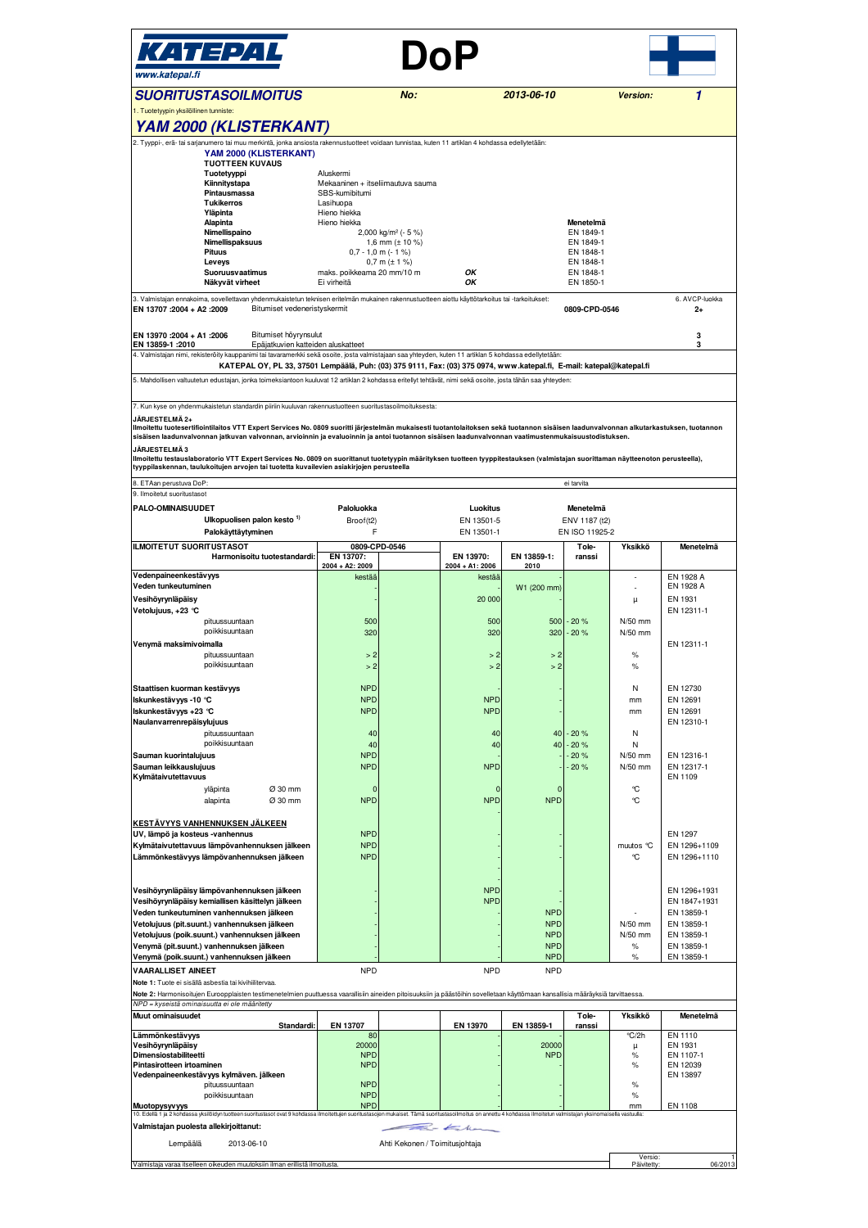| KATEPAL<br>www.katepal.fi                                                                                                                                                                                                                                                                                                                                                                                                                                                                                                                                                                                                                                                                                                                                                                                                                                                                                                                                                                                                                                                     |                                                                                                                                                                                               |                                                                                  | DoP                                                                                                                                                      |                                                                                                                                                     |                                                          |                                                                                                                                                                                            |                                                                                                                                                                                                                                                                                                         |
|-------------------------------------------------------------------------------------------------------------------------------------------------------------------------------------------------------------------------------------------------------------------------------------------------------------------------------------------------------------------------------------------------------------------------------------------------------------------------------------------------------------------------------------------------------------------------------------------------------------------------------------------------------------------------------------------------------------------------------------------------------------------------------------------------------------------------------------------------------------------------------------------------------------------------------------------------------------------------------------------------------------------------------------------------------------------------------|-----------------------------------------------------------------------------------------------------------------------------------------------------------------------------------------------|----------------------------------------------------------------------------------|----------------------------------------------------------------------------------------------------------------------------------------------------------|-----------------------------------------------------------------------------------------------------------------------------------------------------|----------------------------------------------------------|--------------------------------------------------------------------------------------------------------------------------------------------------------------------------------------------|---------------------------------------------------------------------------------------------------------------------------------------------------------------------------------------------------------------------------------------------------------------------------------------------------------|
| <b>SUORITUSTASOILMOITUS</b><br>1. Tuotetyypin yksilöllinen tunniste:                                                                                                                                                                                                                                                                                                                                                                                                                                                                                                                                                                                                                                                                                                                                                                                                                                                                                                                                                                                                          |                                                                                                                                                                                               | No:                                                                              |                                                                                                                                                          | 2013-06-10                                                                                                                                          |                                                          | Version:                                                                                                                                                                                   | 1                                                                                                                                                                                                                                                                                                       |
| YAM 2000 (KLISTERKANT)                                                                                                                                                                                                                                                                                                                                                                                                                                                                                                                                                                                                                                                                                                                                                                                                                                                                                                                                                                                                                                                        |                                                                                                                                                                                               |                                                                                  |                                                                                                                                                          |                                                                                                                                                     |                                                          |                                                                                                                                                                                            |                                                                                                                                                                                                                                                                                                         |
| Tyyppi-, erä- tai sarjanumero tai muu merkintä, jonka ansiosta rakennustuotteet voidaan tunnistaa, kuten 11 artiklan 4 kohdassa edellytetään:<br>YAM 2000 (KLISTERKANT)<br><b>TUOTTEEN KUVAUS</b><br>Tuotetyyppi<br>Kiinnitystapa<br>Pintausmassa<br><b>Tukikerros</b><br>Yläpinta<br>Alapinta<br>Nimellispaino<br>Nimellispaksuus<br>Pituus                                                                                                                                                                                                                                                                                                                                                                                                                                                                                                                                                                                                                                                                                                                                  | Aluskermi<br>Mekaaninen + itseliimautuva sauma<br>SBS-kumibitumi<br>Lasihuopa<br>Hieno hiekka<br>Hieno hiekka                                                                                 | 2,000 kg/m <sup>2</sup> (- 5 %)<br>1,6 mm $(\pm 10 \%)$<br>$0,7 - 1,0$ m (- 1 %) |                                                                                                                                                          |                                                                                                                                                     | Menetelmä<br>EN 1849-1<br>EN 1849-1<br>EN 1848-1         |                                                                                                                                                                                            |                                                                                                                                                                                                                                                                                                         |
| Leveys<br>Suoruusvaatimus<br>Näkyvät virheet                                                                                                                                                                                                                                                                                                                                                                                                                                                                                                                                                                                                                                                                                                                                                                                                                                                                                                                                                                                                                                  | maks. poikkeama 20 mm/10 m<br>Ei virheitä                                                                                                                                                     | $0,7$ m ( $\pm$ 1 %)                                                             | OК<br>OК                                                                                                                                                 |                                                                                                                                                     | EN 1848-1<br>EN 1848-1<br>EN 1850-1                      |                                                                                                                                                                                            |                                                                                                                                                                                                                                                                                                         |
| 3. Valmistajan ennakoima, sovellettavan yhdenmukaistetun teknisen eritelmän mukainen rakennustuotteen aiottu käyttötarkoitus tai -tarkoitukset:<br>Bitumiset vedeneristyskermit<br>EN 13707 :2004 + A2 :2009                                                                                                                                                                                                                                                                                                                                                                                                                                                                                                                                                                                                                                                                                                                                                                                                                                                                  |                                                                                                                                                                                               |                                                                                  |                                                                                                                                                          |                                                                                                                                                     | 0809-CPD-0546                                            |                                                                                                                                                                                            | 6. AVCP-luokka<br>$^{2+}$                                                                                                                                                                                                                                                                               |
| EN 13970 : 2004 + A1 : 2006<br>Bitumiset höyrynsulut<br>EN 13859-1 : 2010<br>Epäjatkuvien katteiden aluskatteet<br>4. Valmistajan nimi, rekisteröity kauppanimi tai tavaramerkki sekä osoite, josta valmistajaan saa yhteyden, kuten 11 artiklan 5 kohdassa edellytetään:                                                                                                                                                                                                                                                                                                                                                                                                                                                                                                                                                                                                                                                                                                                                                                                                     |                                                                                                                                                                                               |                                                                                  |                                                                                                                                                          |                                                                                                                                                     |                                                          | 3<br>3                                                                                                                                                                                     |                                                                                                                                                                                                                                                                                                         |
| KATEPAL OY, PL 33, 37501 Lempäälä, Puh: (03) 375 9111, Fax: (03) 375 0974, www.katepal.fi, E-mail: katepal@katepal.fi<br>5. Mahdollisen valtuutetun edustajan, jonka toimeksiantoon kuuluvat 12 artiklan 2 kohdassa eritellyt tehtävät, nimi sekä osoite, josta tähän saa yhteyden:                                                                                                                                                                                                                                                                                                                                                                                                                                                                                                                                                                                                                                                                                                                                                                                           |                                                                                                                                                                                               |                                                                                  |                                                                                                                                                          |                                                                                                                                                     |                                                          |                                                                                                                                                                                            |                                                                                                                                                                                                                                                                                                         |
| 7. Kun kyse on yhdenmukaistetun standardin piiriin kuuluvan rakennustuotteen suoritustasoilmoituksesta:<br>JÄRJESTELMÄ 2+<br>Ilmoitettu tuotesertifiointilaitos VTT Expert Services No. 0809 suoritti järjestelmän mukaisesti tuotantolaitoksen sekä tuotannon sisäisen laadunvalvonnan alkutarkastuksen, tuotannon<br>sisäisen laadunvalvonnan jatkuvan valvonnan, arvioinnin ja evaluoinnin ja antoi tuotannon sisäisen laadunvalvonnan vaatimustenmukaisuustodistuksen.<br><b>JÄRJESTELMÄ3</b><br>Ilmoitettu testauslaboratorio VTT Expert Services No. 0809 on suorittanut tuotetyypin määrityksen tuotteen tyyppitestauksen (valmistajan suorittaman näytteenoton perusteella),<br>tyyppilaskennan, taulukoitujen arvojen tai tuotetta kuvailevien asiakirjojen perusteella<br>ETAan perustuva DoP:<br>ei tarvita<br>8                                                                                                                                                                                                                                                   |                                                                                                                                                                                               |                                                                                  |                                                                                                                                                          |                                                                                                                                                     |                                                          |                                                                                                                                                                                            |                                                                                                                                                                                                                                                                                                         |
| 9. Ilmoitetut suoritustasot<br><b>PALO-OMINAISUUDET</b>                                                                                                                                                                                                                                                                                                                                                                                                                                                                                                                                                                                                                                                                                                                                                                                                                                                                                                                                                                                                                       | Paloluokka                                                                                                                                                                                    |                                                                                  | Luokitus                                                                                                                                                 |                                                                                                                                                     | Menetelmä                                                |                                                                                                                                                                                            |                                                                                                                                                                                                                                                                                                         |
| Ulkopuolisen palon kesto <sup>1)</sup><br>Palokäyttäytyminen                                                                                                                                                                                                                                                                                                                                                                                                                                                                                                                                                                                                                                                                                                                                                                                                                                                                                                                                                                                                                  | Broof(t2)<br>F                                                                                                                                                                                |                                                                                  | EN 13501-5<br>EN 13501-1                                                                                                                                 |                                                                                                                                                     | ENV 1187 (t2)<br>EN ISO 11925-2                          |                                                                                                                                                                                            |                                                                                                                                                                                                                                                                                                         |
| <b>ILMOITETUT SUORITUSTASOT</b><br>Harmonisoitu tuotestandardi:                                                                                                                                                                                                                                                                                                                                                                                                                                                                                                                                                                                                                                                                                                                                                                                                                                                                                                                                                                                                               | 0809-CPD-0546<br>EN 13707:<br>$2004 + A2: 2009$                                                                                                                                               |                                                                                  | EN 13970:<br>2004 + A1: 2006                                                                                                                             | EN 13859-1:<br>2010                                                                                                                                 | Tole-<br>ranssi                                          | Yksikkö                                                                                                                                                                                    | Menetelmä                                                                                                                                                                                                                                                                                               |
| Vedenpaineenkestävyys<br>Veden tunkeutuminen<br>Vesihöyrynläpäisy<br>Vetolujuus, +23 °C<br>pituussuuntaan<br>poikkisuuntaan<br>Venymä maksimivoimalla<br>pituussuuntaan<br>poikkisuuntaan<br>Staattisen kuorman kestävyys<br>Iskunkestävyys -10 °C<br>Iskunkestävyys +23 °C<br>Naulanvarrenrepäisylujuus<br>pituussuuntaan<br>poikkisuuntaan<br>Sauman kuorintalujuus<br>Sauman leikkauslujuus<br>Kylmätaivutettavuus<br>Ø 30 mm<br>yläpinta<br>alapinta<br>Ø 30 mm<br><u>KESTÄVYYS VANHENNUKSEN JÄLKEEN</u><br>UV, lämpö ja kosteus -vanhennus<br>Kylmätaivutettavuus lämpövanhennuksen jälkeen<br>Lämmönkestävyys lämpövanhennuksen jälkeen<br>Vesihöyrynläpäisy lämpövanhennuksen jälkeen<br>Vesihöyrynläpäisy kemiallisen käsittelyn jälkeen<br>Veden tunkeutuminen vanhennuksen jälkeen<br>Vetolujuus (pit.suunt.) vanhennuksen jälkeen<br>Vetolujuus (poik.suunt.) vanhennuksen jälkeen<br>Venymä (pit.suunt.) vanhennuksen jälkeen<br>Venymä (poik.suunt.) vanhennuksen jälkeen<br><b>VAARALLISET AINEET</b><br>Note 1: Tuote ei sisällä asbestia tai kivihiilitervaa. | kestää<br>500<br>320<br>>2<br>>2<br><b>NPD</b><br><b>NPD</b><br><b>NPD</b><br>40<br>40<br><b>NPD</b><br><b>NPD</b><br>C<br><b>NPD</b><br><b>NPD</b><br><b>NPD</b><br><b>NPD</b><br><b>NPD</b> |                                                                                  | kestää<br>20 000<br>500<br>320<br>>2<br>>2<br><b>NPD</b><br><b>NPD</b><br>40<br>40<br><b>NPD</b><br><b>NPD</b><br><b>NPD</b><br><b>NPD</b><br><b>NPD</b> | W1 (200 mm)<br>500<br>320<br>>2<br>>2<br>40<br>40<br><b>NPD</b><br><b>NPD</b><br><b>NPD</b><br><b>NPD</b><br><b>NPD</b><br><b>NPD</b><br><b>NPD</b> | $-20%$<br>$-20%$<br>$-20%$<br>$-20%$<br>$-20%$<br>$-20%$ | $\overline{\phantom{a}}$<br>μ<br>N/50 mm<br>N/50 mm<br>$\%$<br>$\%$<br>Ν<br>mm<br>mm<br>N<br>Ν<br>N/50 mm<br>N/50 mm<br>℃<br>٩C<br>muutos °C<br>°C<br>N/50 mm<br>$N/50$ mm<br>$\%$<br>$\%$ | EN 1928 A<br>EN 1928 A<br>EN 1931<br>EN 12311-1<br>EN 12311-1<br>EN 12730<br>EN 12691<br>EN 12691<br>EN 12310-1<br>EN 12316-1<br>EN 12317-1<br>EN 1109<br>EN 1297<br>EN 1296+1109<br>EN 1296+1110<br>EN 1296+1931<br>EN 1847+1931<br>EN 13859-1<br>EN 13859-1<br>EN 13859-1<br>EN 13859-1<br>EN 13859-1 |
| Note 2: Harmonisoitujen Euroopplaisten testimenetelmien puuttuessa vaarallisiin aineiden pitoisuuksiin ja päästöihin sovelletaan käyttömaan kansallisia määräyksiä tarvittaessa.<br>NPD = kyseistä ominaisuutta ei ole määritetty                                                                                                                                                                                                                                                                                                                                                                                                                                                                                                                                                                                                                                                                                                                                                                                                                                             |                                                                                                                                                                                               |                                                                                  |                                                                                                                                                          |                                                                                                                                                     |                                                          |                                                                                                                                                                                            |                                                                                                                                                                                                                                                                                                         |
| Muut ominaisuudet<br>Standardi:<br>Lämmönkestävyys<br>Vesihöyrynläpäisy<br>Dimensiostabiliteetti<br>Pintasirotteen irtoaminen<br>Vedenpaineenkestävyys kylmäven. jälkeen<br>pituussuuntaan<br>poikkisuuntaan<br>Muotopysyvyys<br>10. Edellä 1 ja 2 kohdassa yksilöidyn tuotteen suoritustasot ovat 9 kohdassa ilmoitettujen suoritustasojen mukaiset. Tämä suoritustasoilmoitus on annettu 4 kohdassa ilmoitetun valmistajan yksinomaisella vastuulla:                                                                                                                                                                                                                                                                                                                                                                                                                                                                                                                                                                                                                        | EN 13707<br>80<br>20000<br><b>NPD</b><br><b>NPD</b><br><b>NPD</b><br><b>NPD</b><br><b>NPD</b>                                                                                                 |                                                                                  | EN 13970                                                                                                                                                 | EN 13859-1<br>20000<br><b>NPD</b>                                                                                                                   | Tole-<br>ranssi                                          | Yksikkö<br>°C/2h<br>μ<br>$\%$<br>$\%$<br>$\%$<br>$\%$<br>mm                                                                                                                                | Menetelmä<br>EN 1110<br>EN 1931<br>EN 1107-1<br>EN 12039<br>EN 13897<br>EN 1108                                                                                                                                                                                                                         |
| Valmistajan puolesta allekirjoittanut:<br>$\leftarrow$<br>Lempäälä<br>2013-06-10<br>Ahti Kekonen / Toimitusjohtaja                                                                                                                                                                                                                                                                                                                                                                                                                                                                                                                                                                                                                                                                                                                                                                                                                                                                                                                                                            |                                                                                                                                                                                               |                                                                                  |                                                                                                                                                          |                                                                                                                                                     |                                                          |                                                                                                                                                                                            |                                                                                                                                                                                                                                                                                                         |
| Valmistaja varaa itselleen oikeuden muutoksiin ilman erillistä ilmoitusta                                                                                                                                                                                                                                                                                                                                                                                                                                                                                                                                                                                                                                                                                                                                                                                                                                                                                                                                                                                                     |                                                                                                                                                                                               |                                                                                  |                                                                                                                                                          |                                                                                                                                                     |                                                          | Versio:<br>Päivitetty                                                                                                                                                                      | 06/2013                                                                                                                                                                                                                                                                                                 |